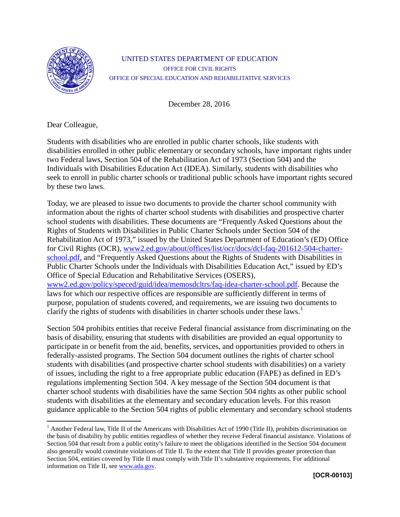

## UNITED STATES DEPARTMENT OF EDUCATION OFFICE FOR CIVIL RIGHTS OFFICE OF SPECIAL EDUCATION AND REHABILITATIVE SERVICES

December 28, 2016

Dear Colleague,

Students with disabilities who are enrolled in public charter schools, like students with disabilities enrolled in other public elementary or secondary schools, have important rights under two Federal laws, Section 504 of the Rehabilitation Act of 1973 (Section 504) and the Individuals with Disabilities Education Act (IDEA). Similarly, students with disabilities who seek to enroll in public charter schools or traditional public schools have important rights secured by these two laws.

Today, we are pleased to issue two documents to provide the charter school community with information about the rights of charter school students with disabilities and prospective charter school students with disabilities. These documents are "Frequently Asked Questions about the Rights of Students with Disabilities in Public Charter Schools under Section 504 of the Rehabilitation Act of 1973," issued by the United States Department of Education's (ED) Office for Civil Rights (OCR), [www2.ed.gov/about/offices/list/ocr/docs/dcl-faq-201612-504-charter](http://www2.ed.gov/about/offices/list/ocr/docs/dcl-faq-201612-504-charter-school.pdf)[school.pdf,](http://www2.ed.gov/about/offices/list/ocr/docs/dcl-faq-201612-504-charter-school.pdf) and "Frequently Asked Questions about the Rights of Students with Disabilities in Public Charter Schools under the Individuals with Disabilities Education Act," issued by ED's Office of Special Education and Rehabilitative Services (OSERS), [www2.ed.gov/policy/speced/guid/idea/memosdcltrs/faq-idea-charter-school.pdf.](http://www2.ed.gov/policy/speced/guid/idea/memosdcltrs/faq-idea-charter-school.pdf) Because the laws for which our respective offices are responsible are sufficiently different in terms of purpose, population of students covered, and requirements, we are issuing two documents to clarify the rights of students with disabilities in charter schools under these laws.<sup>[1](#page-0-0)</sup>

Section 504 prohibits entities that receive Federal financial assistance from discriminating on the basis of disability, ensuring that students with disabilities are provided an equal opportunity to participate in or benefit from the aid, benefits, services, and opportunities provided to others in federally-assisted programs. The Section 504 document outlines the rights of charter school students with disabilities (and prospective charter school students with disabilities) on a variety of issues, including the right to a free appropriate public education (FAPE) as defined in ED's regulations implementing Section 504. A key message of the Section 504 document is that charter school students with disabilities have the same Section 504 rights as other public school students with disabilities at the elementary and secondary education levels. For this reason guidance applicable to the Section 504 rights of public elementary and secondary school students

<span id="page-0-0"></span><sup>&</sup>lt;sup>1</sup> Another Federal law, Title II of the Americans with Disabilities Act of 1990 (Title II), prohibits discrimination on the basis of disability by public entities regardless of whether they receive Federal financial assistance. Violations of Section 504 that result from a public entity's failure to meet the obligations identified in the Section 504 document also generally would constitute violations of Title II. To the extent that Title II provides greater protection than Section 504, entities covered by Title II must comply with Title II's substantive requirements. For additional information on Title II, see [www.ada.gov.](http://www.ada.gov/)